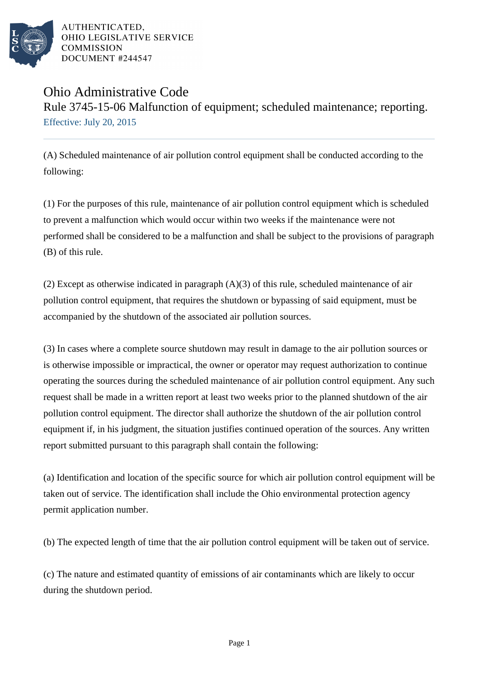

AUTHENTICATED. OHIO LEGISLATIVE SERVICE **COMMISSION** DOCUMENT #244547

## Ohio Administrative Code Rule 3745-15-06 Malfunction of equipment; scheduled maintenance; reporting. Effective: July 20, 2015

(A) Scheduled maintenance of air pollution control equipment shall be conducted according to the following:

(1) For the purposes of this rule, maintenance of air pollution control equipment which is scheduled to prevent a malfunction which would occur within two weeks if the maintenance were not performed shall be considered to be a malfunction and shall be subject to the provisions of paragraph (B) of this rule.

(2) Except as otherwise indicated in paragraph (A)(3) of this rule, scheduled maintenance of air pollution control equipment, that requires the shutdown or bypassing of said equipment, must be accompanied by the shutdown of the associated air pollution sources.

(3) In cases where a complete source shutdown may result in damage to the air pollution sources or is otherwise impossible or impractical, the owner or operator may request authorization to continue operating the sources during the scheduled maintenance of air pollution control equipment. Any such request shall be made in a written report at least two weeks prior to the planned shutdown of the air pollution control equipment. The director shall authorize the shutdown of the air pollution control equipment if, in his judgment, the situation justifies continued operation of the sources. Any written report submitted pursuant to this paragraph shall contain the following:

(a) Identification and location of the specific source for which air pollution control equipment will be taken out of service. The identification shall include the Ohio environmental protection agency permit application number.

(b) The expected length of time that the air pollution control equipment will be taken out of service.

(c) The nature and estimated quantity of emissions of air contaminants which are likely to occur during the shutdown period.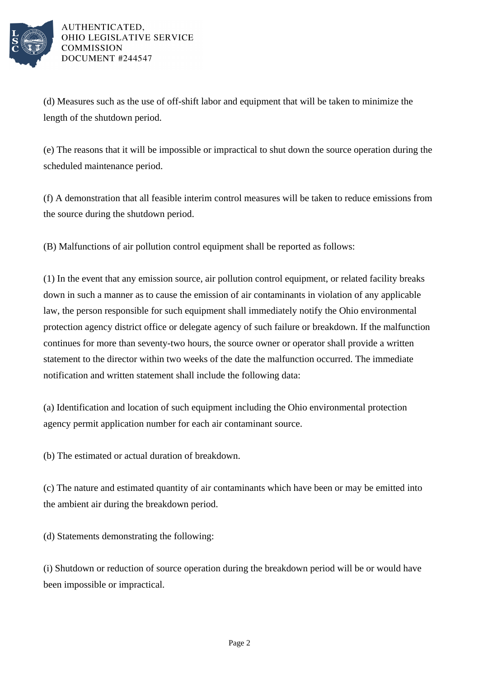

AUTHENTICATED. OHIO LEGISLATIVE SERVICE **COMMISSION** DOCUMENT #244547

(d) Measures such as the use of off-shift labor and equipment that will be taken to minimize the length of the shutdown period.

(e) The reasons that it will be impossible or impractical to shut down the source operation during the scheduled maintenance period.

(f) A demonstration that all feasible interim control measures will be taken to reduce emissions from the source during the shutdown period.

(B) Malfunctions of air pollution control equipment shall be reported as follows:

(1) In the event that any emission source, air pollution control equipment, or related facility breaks down in such a manner as to cause the emission of air contaminants in violation of any applicable law, the person responsible for such equipment shall immediately notify the Ohio environmental protection agency district office or delegate agency of such failure or breakdown. If the malfunction continues for more than seventy-two hours, the source owner or operator shall provide a written statement to the director within two weeks of the date the malfunction occurred. The immediate notification and written statement shall include the following data:

(a) Identification and location of such equipment including the Ohio environmental protection agency permit application number for each air contaminant source.

(b) The estimated or actual duration of breakdown.

(c) The nature and estimated quantity of air contaminants which have been or may be emitted into the ambient air during the breakdown period.

(d) Statements demonstrating the following:

(i) Shutdown or reduction of source operation during the breakdown period will be or would have been impossible or impractical.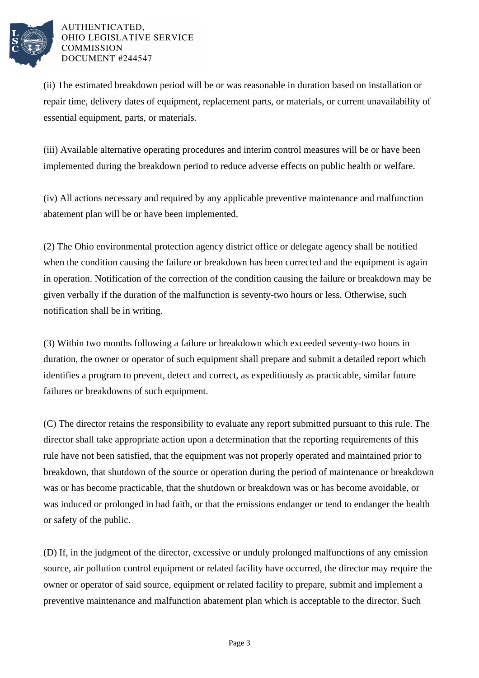

## AUTHENTICATED, OHIO LEGISLATIVE SERVICE **COMMISSION** DOCUMENT #244547

(ii) The estimated breakdown period will be or was reasonable in duration based on installation or repair time, delivery dates of equipment, replacement parts, or materials, or current unavailability of essential equipment, parts, or materials.

(iii) Available alternative operating procedures and interim control measures will be or have been implemented during the breakdown period to reduce adverse effects on public health or welfare.

(iv) All actions necessary and required by any applicable preventive maintenance and malfunction abatement plan will be or have been implemented.

(2) The Ohio environmental protection agency district office or delegate agency shall be notified when the condition causing the failure or breakdown has been corrected and the equipment is again in operation. Notification of the correction of the condition causing the failure or breakdown may be given verbally if the duration of the malfunction is seventy-two hours or less. Otherwise, such notification shall be in writing.

(3) Within two months following a failure or breakdown which exceeded seventy-two hours in duration, the owner or operator of such equipment shall prepare and submit a detailed report which identifies a program to prevent, detect and correct, as expeditiously as practicable, similar future failures or breakdowns of such equipment.

(C) The director retains the responsibility to evaluate any report submitted pursuant to this rule. The director shall take appropriate action upon a determination that the reporting requirements of this rule have not been satisfied, that the equipment was not properly operated and maintained prior to breakdown, that shutdown of the source or operation during the period of maintenance or breakdown was or has become practicable, that the shutdown or breakdown was or has become avoidable, or was induced or prolonged in bad faith, or that the emissions endanger or tend to endanger the health or safety of the public.

(D) If, in the judgment of the director, excessive or unduly prolonged malfunctions of any emission source, air pollution control equipment or related facility have occurred, the director may require the owner or operator of said source, equipment or related facility to prepare, submit and implement a preventive maintenance and malfunction abatement plan which is acceptable to the director. Such